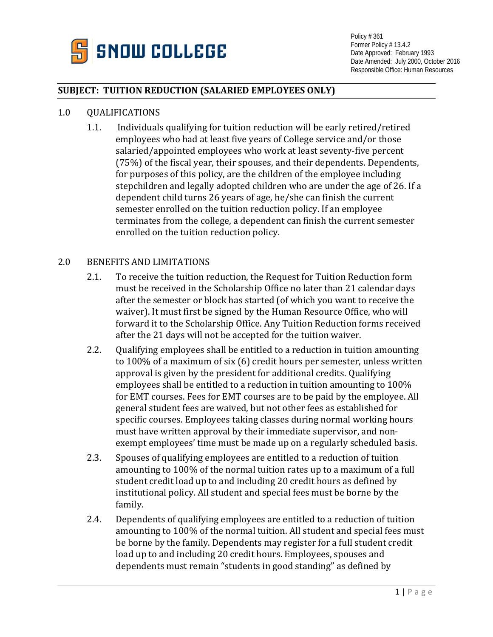

Policy # 361 Former Policy # 13.4.2 Date Approved: February 1993 Date Amended: July 2000, October 2016 Responsible Office: Human Resources

## **SUBJECT: TUITION REDUCTION (SALARIED EMPLOYEES ONLY)**

## 1.0 QUALIFICATIONS

1.1. Individuals qualifying for tuition reduction will be early retired/retired employees who had at least five years of College service and/or those salaried/appointed employees who work at least seventy-five percent (75%) of the fiscal year, their spouses, and their dependents. Dependents, for purposes of this policy, are the children of the employee including stepchildren and legally adopted children who are under the age of 26. If a dependent child turns 26 years of age, he/she can finish the current semester enrolled on the tuition reduction policy. If an employee terminates from the college, a dependent can finish the current semester enrolled on the tuition reduction policy.

## 2.0 BENEFITS AND LIMITATIONS

- 2.1. To receive the tuition reduction, the Request for Tuition Reduction form must be received in the Scholarship Office no later than 21 calendar days after the semester or block has started (of which you want to receive the waiver). It must first be signed by the Human Resource Office, who will forward it to the Scholarship Office. Any Tuition Reduction forms received after the 21 days will not be accepted for the tuition waiver.
- 2.2. Qualifying employees shall be entitled to a reduction in tuition amounting to 100% of a maximum of six (6) credit hours per semester, unless written approval is given by the president for additional credits. Qualifying employees shall be entitled to a reduction in tuition amounting to 100% for EMT courses. Fees for EMT courses are to be paid by the employee. All general student fees are waived, but not other fees as established for specific courses. Employees taking classes during normal working hours must have written approval by their immediate supervisor, and nonexempt employees' time must be made up on a regularly scheduled basis.
- 2.3. Spouses of qualifying employees are entitled to a reduction of tuition amounting to 100% of the normal tuition rates up to a maximum of a full student credit load up to and including 20 credit hours as defined by institutional policy. All student and special fees must be borne by the family.
- 2.4. Dependents of qualifying employees are entitled to a reduction of tuition amounting to 100% of the normal tuition. All student and special fees must be borne by the family. Dependents may register for a full student credit load up to and including 20 credit hours. Employees, spouses and dependents must remain "students in good standing" as defined by